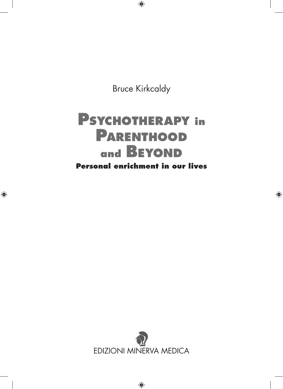Bruce Kirkcaldy

# **Psychotherapy in Parenthood and Beyond Personal enrichment in our lives**

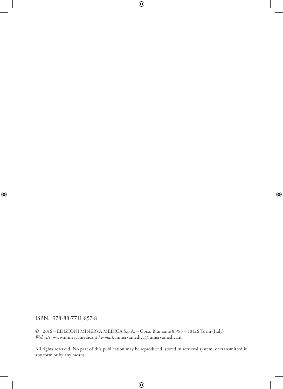ISBN: 978-88-7711-857-8

© 2016 – EDIZIONI MINERVA MEDICA S.p.A. – Corso Bramante 83/85 – 10126 Turin (Italy) *Web site*: www.minervamedica.it / *e-mail*: minervamedica@minervamedica.it

All rights reserved. No part of this publication may be reproduced, stored in retrieval system, or transmitted in any form or by any means.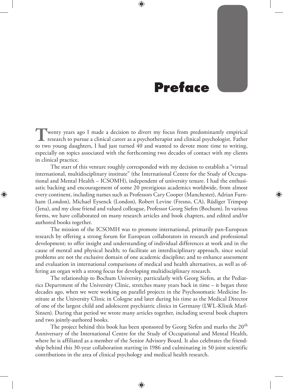### **Preface**

wenty years ago I made a decision to divert my focus from predominantly empirical **T** wenty years ago I made a decision to divert my focus from predominantly empirical research to pursue a clinical career as a psychotherapist and clinical psychologist. Father to two young daughters, I had just turned 40 and wanted to devote more time to writing, especially on topics associated with the forthcoming two decades of contact with my clients in clinical practice.

The start of this venture roughly corresponded with my decision to establish a "virtual international, multidisciplinary institute" (the International Centre for the Study of Occupational and Mental Health – ICSOMH), independent of university tenure. I had the enthusiastic backing and encouragement of some 20 prestigious academics worldwide, from almost every continent, including names such as Professors Cary Cooper (Manchester), Adrian Furnham (London), Michael Eysenck (London), Robert Levine (Fresno, CA), Rüdiger Trimpop (Jena), and my close friend and valued colleague, Professor Georg Siefen (Bochum). In various forms, we have collaborated on many research articles and book chapters, and edited and/or authored books together.

The mission of the ICSOMH was to promote international, primarily pan-European research by offering a strong forum for European collaborators in research and professional development; to offer insight and understanding of individual differences at work and in the cause of mental and physical health; to facilitate an interdisciplinary approach, since social problems are not the exclusive domain of one academic discipline; and to enhance assessment and evaluation in international comparisons of medical and health alternatives, as well as offering an organ with a strong focus for developing multidisciplinary research.

The relationship to Bochum University, particularly with Georg Siefen, at the Pediatrics Department of the University Clinic, stretches many years back in time – it began three decades ago, when we were working on parallel projects in the Psychosomatic Medicine Institute at the University Clinic in Cologne and later during his time as the Medical Director of one of the largest child and adolescent psychiatric clinics in Germany (LWL-Klinik Marl-Sinsen). During that period we wrote many articles together, including several book chapters and two jointly-authored books.

The project behind this book has been sponsored by Georg Siefen and marks the 20<sup>th</sup> Anniversary of the International Centre for the Study of Occupational and Mental Health, where he is affiliated as a member of the Senior Advisory Board. It also celebrates the friendship behind this 30-year collaboration starting in 1986 and culminating in 50 joint scientific contributions in the area of clinical psychology and medical health research.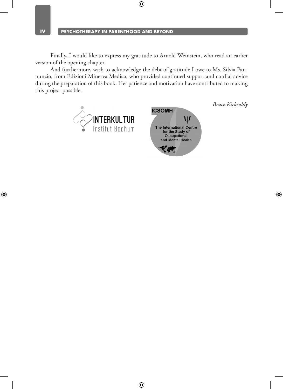Finally, I would like to express my gratitude to Arnold Weinstein, who read an earlier version of the opening chapter.

And furthermore, wish to acknowledge the debt of gratitude I owe to Ms. Silvia Pannunzio, from Edizioni Minerva Medica, who provided continued support and cordial advice during the preparation of this book. Her patience and motivation have contributed to making this project possible.



*Bruce Kirkcaldy*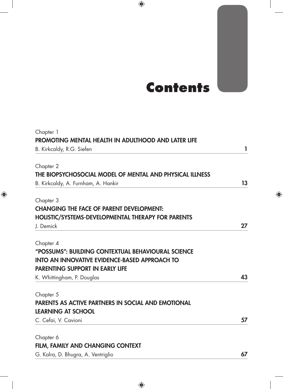## **Contents**

| Chapter 1<br>PROMOTING MENTAL HEALTH IN ADULTHOOD AND LATER LIFE |    |
|------------------------------------------------------------------|----|
| B. Kirkcaldy, R.G. Siefen                                        | 1  |
|                                                                  |    |
| Chapter 2                                                        |    |
| THE BIOPSYCHOSOCIAL MODEL OF MENTAL AND PHYSICAL ILLNESS         |    |
| B. Kirkcaldy, A. Furnham, A. Hankir                              | 13 |
| Chapter 3                                                        |    |
| <b>CHANGING THE FACE OF PARENT DEVELOPMENT:</b>                  |    |
| <b>HOLISTIC/SYSTEMS-DEVELOPMENTAL THERAPY FOR PARENTS</b>        |    |
| J. Demick                                                        | 27 |
| Chapter 4                                                        |    |
| "POSSUMS": BUILDING CONTEXTUAL BEHAVIOURAL SCIENCE               |    |
| <b>INTO AN INNOVATIVE EVIDENCE-BASED APPROACH TO</b>             |    |
| <b>PARENTING SUPPORT IN EARLY LIFE</b>                           |    |
| K. Whittingham, P. Douglas                                       | 43 |
| Chapter 5                                                        |    |
| <b>PARENTS AS ACTIVE PARTNERS IN SOCIAL AND EMOTIONAL</b>        |    |
| <b>LEARNING AT SCHOOL</b>                                        |    |
| C. Cefai, V. Cavioni                                             | 57 |
| Chapter 6                                                        |    |
| FILM, FAMILY AND CHANGING CONTEXT                                |    |

G. Kalra, D. Bhugra, A. Ventriglio 67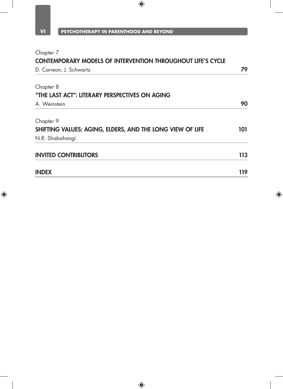| Chapter 7<br><b>CONTEMPORARY MODELS OF INTERVENTION THROUGHOUT LIFE'S CYCLE</b> |     |
|---------------------------------------------------------------------------------|-----|
|                                                                                 |     |
| Chapter 8                                                                       |     |
| "THE LAST ACT": LITERARY PERSPECTIVES ON AGING                                  |     |
| A. Weinstein                                                                    | 90  |
| Chapter 9                                                                       |     |
| SHIFTING VALUES: AGING, ELDERS, AND THE LONG VIEW OF LIFE                       | 101 |
| N.R. Shabahangi                                                                 |     |
| <b>INVITED CONTRIBUTORS</b>                                                     | 113 |
| <b>INDEX</b>                                                                    | 119 |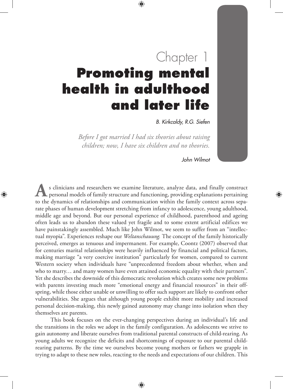# Chapter 1 **Promoting mental health in adulthood and later life**

*B. Kirkcaldy, R.G. Siefen*

*Before I got married I had six theories about raising children; now, I have six children and no theories.* 

*John Wilmot*

s clinicians and researchers we examine literature, analyze data, and finally construct  $\mathsf{\mathsf{L}}$  personal models of family structure and functioning, providing explanations pertaining s clinicians and researchers we examine literature, analyze data, and finally construct<br>personal models of family structure and functioning, providing explanations pertaining<br>to the dynamics of relationships and communicat rate phases of human development stretching from infancy to adolescence, young adulthood, middle age and beyond. But our personal experience of childhood, parenthood and ageing often leads us to abandon these valued yet fragile and to some extent artificial edifices we have painstakingly assembled. Much like John Wilmot, we seem to suffer from an "intellectual myopia". Experiences reshape our *Weltanschauung.* The concept of the family historically perceived, emerges as tenuous and impermanent. For example, Coontz (2007) observed that for centuries marital relationships were heavily influenced by financial and political factors, making marriage "a very coercive institution" particularly for women, compared to current Western society when individuals have "unprecedented freedom about whether, when and who to marry… and many women have even attained economic equality with their partners". Yet she describes the downside of this democratic revolution which creates some new problems with parents investing much more "emotional energy and financial resources" in their offspring, while those either unable or unwilling to offer such support are likely to confront other vulnerabilities. She argues that although young people exhibit more mobility and increased personal decision-making, this newly gained autonomy may change into isolation when they themselves are parents.

This book focuses on the ever-changing perspectives during an individual's life and the transitions in the roles we adopt in the family configuration. As adolescents we strive to gain autonomy and liberate ourselves from traditional parental constructs of child-rearing. As young adults we recognize the deficits and shortcomings of exposure to our parental childrearing patterns. By the time we ourselves become young mothers or fathers we grapple in trying to adapt to these new roles, reacting to the needs and expectations of our children. This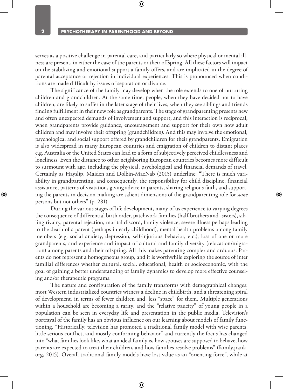serves as a positive challenge in parental care, and particularly so where physical or mental illness are present, in either the case of the parents or their offspring. All these factors will impact on the stabilizing and emotional support a family offers, and are implicated in the degree of parental acceptance or rejection in individual experiences. This is pronounced when conditions are made difficult by issues of separation or divorce.

The significance of the family may develop when the role extends to one of nurturing children and grandchildren. At the same time, people, when they have decided not to have children, are likely to suffer in the later stage of their lives, when they see siblings and friends finding fulfillment in their new role as grandparents. The stage of grandparenting presents new and often unexpected demands of involvement and support, and this interaction is reciprocal, when grandparents provide guidance, encouragement and support for their own now adult children and may involve their offspring (grandchildren). And this may involve the emotional, psychological and social support offered by grandchildren for their grandparents. Emigration is also widespread in many European countries and emigration of children to distant places e.g. Australia or the United States can lead to a form of subjectively perceived childlessness and loneliness. Even the distance to other neighboring European countries becomes more difficult to surmount with age, including the physical, psychological and financial demands of travel. Certainly as Hayslip, Maiden and Dolbin-MacNab (2015) underline: "There is much variability in grandparenting, and consequently, the responsibility for child discipline, financial assistance, patterns of visitation, giving advice to parents, sharing religious faith, and supporting the parents in decision-making are salient dimensions of the grandparenting role for *some*  persons but not others" (p. 281).

During the various stages of life development, many of us experience to varying degrees the consequence of differential birth order, patchwork families (half-brothers and -sisters), sibling rivalry, parental rejection, marital discord, family violence, severe illness perhaps leading to the death of a parent (perhaps in early childhood), mental health problems among family members (e.g. social anxiety, depression, self-injurious behavior, etc.), loss of one or more grandparents, and experience and impact of cultural and family diversity (relocation/migration) among parents and their offspring. All this makes parenting complex and arduous. Parents do not represent a homogeneous group, and it is worthwhile exploring the source of inter familial differences whether cultural, social, educational, health or socioeconomic, with the goal of gaining a better understanding of family dynamics to develop more effective counseling and/or therapeutic programs.

The nature and configuration of the family transforms with demographical changes: most Western industrialized countries witness a decline in childbirth, and a threatening spiral of development, in terms of fewer children and, less "space" for them. Multiple generations within a household are becoming a rarity, and the "relative paucity" of young people in a population can be seen in everyday life and presentation in the public media. Television's portrayal of the family has an obvious influence on our learning about models of family functioning. "Historically, television has promoted a traditional family model with wise parents, little serious conflict, and mostly conforming behavior" and currently the focus has changed into "what families look like, what an ideal family is, how spouses are supposed to behave, how parents are expected to treat their children, and how families resolve problems" (family.jrank. org, 2015). Overall traditional family models have lost value as an "orienting force", while at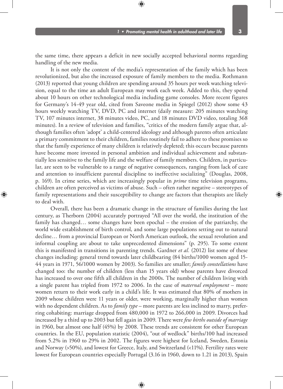the same time, there appears a deficit in new socially accepted behavioral norms regarding handling of the new media.

It is not only the content of the media's representation of the family which has been revolutionized, but also the increased exposure of family members to the media. Rothmann (2013) reported that young children are spending around 35 hours per week watching television, equal to the time an adult European may work each week. Added to this, they spend about 10 hours on other technological media including game consoles. More recent figures for Germany's 14-49 year old, cited from Saveone media in Spiegel (2012) show some 43 hours weekly watching TV, DVD, PC and internet (daily measure: 205 minutes watching TV, 107 minutes internet, 38 minutes video, PC, and 18 minutes DVD video, totaling 368 minutes). In a review of television and families, "critics of the modern family argue that, although families often 'adopt' a child-centered ideology and although parents often articulate a primary commitment to their children, families routinely fail to adhere to these promises so that the family experience of many children is relatively depleted; this occurs because parents have become more invested in personal ambition and individual achievement and substantially less sensitive to the family life and the welfare of family members. Children, in particular, are seen to be vulnerable to a range of negative consequences, ranging from lack of care and attention to insufficient parental discipline to ineffective socializing" (Douglas, 2008, p. 169). In crime series, which are increasingly popular in *prime* time television programs, children are often perceived as victims of abuse. Such – often rather negative – stereotypes of family representations and their susceptibility to change are factors that therapists are likely to deal with.

Overall, there has been a dramatic change in the structure of families during the last century, as Therborn (2004) accurately portrayed "All over the world, the institution of the family has changed… some changes have been epochal – the erosion of the patriarchy, the world wide establishment of birth control, and some large populations setting out to natural decline… from a provincial European or North American outlook, the sexual revolution and informal coupling are about to take unprecedented dimensions" (p. 295). To some extent this is manifested in transitions in parenting trends. Gardner *et al.* (2012) list some of these changes including: general trend towards later childbearing (84 births/1000 women aged 15- 44 years in 1971, 56/1000 women by 2003). So families are smaller; *family constellations* have changed too: the number of children (less than 15 years old) whose parents have divorced has increased to over one fifth all children in the 2000s. The number of children living with a single parent has tripled from 1972 to 2006. In the case of *maternal employment* – more women return to their work early in a child's life. It was estimated that 80% of mothers in 2009 whose children were 11 years or older, were working, marginally higher than women with no dependent children. As to *family type* – more parents are less inclined to marry, preferring cohabiting: marriage dropped from 480,000 in 1972 to 266,000 in 2009. Divorces had increased by a third up to 2003 but fell again in 2009. There were *few births outside of marriage* in 1960, but almost one half (45%) by 2008. These trends are consistent for other European countries. In the EU, population statistic (2004), "out of wedlock" births/100 had increased from 5.2% in 1960 to 29% in 2002. The figures were highest for Iceland, Sweden, Estonia and Norway (>50%), and lowest for Greece, Italy, and Switzerland (<11%). Fertility rates were lowest for European countries especially Portugal (3.16 in 1960, down to 1.21 in 2013), Spain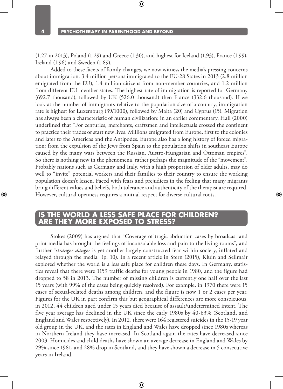(1.27 in 2013), Poland (1.29) and Greece (1.30), and highest for Iceland (1.93), France (1.99), Ireland (1.96) and Sweden (1.89).

Added to these facets of family changes, we now witness the media's pressing concerns about immigration. 3.4 million persons immigrated to the EU-28 States in 2013 (2.8 million emigrated from the EU), 1.4 million citizens from non-member countries, and 1.2 million from different EU member states. The highest rate of immigration is reported for Germany (692.7 thousand), followed by UK (526.0 thousand) then France (332.6 thousand). If we look at the number of immigrants relative to the population size of a country, immigration rate is highest for Luxemburg (39/1000), followed by Malta (20) and Cyprus (15). Migration has always been a characteristic of human civilization: in an earlier commentary, Hall (2000) underlined that "For centuries, merchants, craftsmen and intellectuals crossed the continent to practice their trades or start new lives. Millions emigrated from Europe, first to the colonies and later to the Americas and the Antipodes. Europe also has a long history of forced migration: from the expulsion of the Jews from Spain to the population shifts in southeast Europe caused by the many wars between the Russian, Austro-Hungarian and Ottoman empires". So there is nothing new in the phenomena, rather perhaps the magnitude of the "movement". Probably nations such as Germany and Italy, with a high proportion of older adults, may do well to "invite" potential workers and their families to their country to ensure the working population doesn't lessen. Faced with fears and prejudices in the feeling that many migrants bring different values and beliefs, both tolerance and authenticity of the therapist are required. However, cultural openness requires a mutual respect for diverse cultural roots.

#### **Is the world a less safe place for children? THEY MORE EXPOSED TO STRESS?**

Stokes (2009) has argued that "Coverage of tragic abduction cases by broadcast and print media has brought the feelings of inconsolable loss and pain to the living rooms", and further "*stranger danger* is yet another largely constructed fear within society, inflated and relayed through the media" (p. 10). In a recent article in Stern (2015), Kluin and Sellmair explored whether the world is a less safe place for children these days. In Germany, statistics reveal that there were 1159 traffic deaths for young people in 1980, and the figure had dropped to 58 in 2013. The number of missing children is currently one half over the last 15 years (with 99% of the cases being quickly resolved). For example, in 1970 there were 15 cases of sexual-related deaths among children, and the figure is now 1 or 2 cases per year. Figures for the UK in part confirm this but geographical differences are more conspicuous, in 2012, 44 children aged under 15 years died because of assault/undetermined intent. The five year average has declined in the UK since the early 1980s by 40-63% (Scotland, and England and Wales respectively). In 2012, there were 164 registered suicides in the 15-19 year old group in the UK, and the rates in England and Wales have dropped since 1980s whereas in Northern Ireland they have increased. In Scotland again the rates have decreased since 2003. Homicides and child deaths have shown an average decrease in England and Wales by 29% since 1981, and 28% drop in Scotland, and they have shown a decrease in 5 consecutive years in Ireland.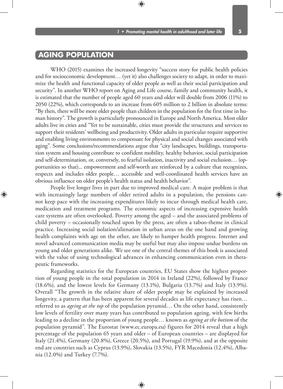### **Aging population**

WHO (2015) examines the increased longevity "success story for public health policies and for socioeconomic development… (yet it) also challenges society to adapt, in order to maximize the health and functional capacity of older people as well as their social participation and security". In another WHO report on Aging and Life course, family and community health, it is estimated that the number of people aged 60 years and older will double from 2006 (11%) to 2050 (22%), which corresponds to an increase from 605 million to 2 billion in absolute terms: "By then, there will be more older people than children in the population for the first time in human history". The growth is particularly pronounced in Europe and North America. Most older adults live in cities and "Yet to be sustainable, cities must provide the structures and services to support their residents' wellbeing and productivity. Older adults in particular require supportive and enabling living environments to compensate for physical and social changes associated with aging". Some conclusions/recommendations argue that "city landscapes, buildings, transportation system and housing contribute to confident mobility, healthy behavior, social participation and self-determination, or, conversely, to fearful isolation, inactivity and social exclusion… (opportunities so that)... empowerment and self-worth are reinforced by a culture that recognizes, respects and includes older people… accessible and well-coordinated health services have an obvious influence on older people's health status and health behavior".

People live longer lives in part due to improved medical care. A major problem is that with increasingly large numbers of older retired adults in a population, the pensions cannot keep pace with the increasing expenditures likely to incur through medical health care, medication and treatment programs. The economic aspects of increasing expensive health care systems are often overlooked. Poverty among the aged – and the associated problems of child poverty – occasionally touched upon by the press, are often a taboo-theme in clinical practice. Increasing social isolation/alienation in urban areas on the one hand and growing health complaints with age on the other, are likely to hamper health progress. Internet and novel advanced communication media may be useful but may also impose undue burdens on young and older generations alike. We see one of the central themes of this book is associated with the value of using technological advances in enhancing communication even in therapeutic frameworks.

Regarding statistics for the European countries, EU States show the highest proportion of young people in the total population in 2014 in Ireland (22%), followed by France (18.6%), and the lowest levels for Germany (13.1%), Bulgaria (13.7%) and Italy (13.9%). Overall "The growth in the relative share of older people may be explained by increased longevity, a pattern that has been apparent for several decades as life expectancy has risen… referred to as *ageing at the top* of the population pyramid… On the other hand, consistently low levels of fertility over many years has contributed to population ageing, with few births leading to a decline in the proportion of young people… known as *ageing at the bottom* of the population pyramid". The Eurostat (www.ec.europa.eu) figures for 2014 reveal that a high percentage of the population 65 years and older – of European countries – are displayed for Italy (21.4%), Germany (20.8%), Greece (20.5%), and Portugal (19.9%), and at the opposite end are countries such as Cyprus (13.9%), Slovakia (13.5%), FYR Macedonia (12.4%), Albania (12.0%) and Turkey (7.7%).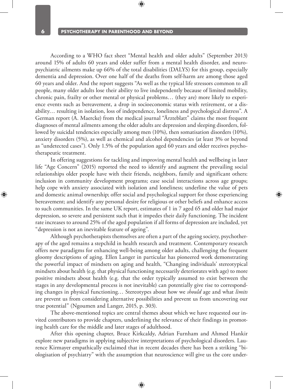According to a WHO fact sheet "Mental health and older adults" (September 2013) around 15% of adults 60 years and older suffer from a mental health disorder, and neuropsychiatric ailments make up 66% of the total disabilities (DALYS) for this group, especially dementia and depression. Over one half of the deaths from self-harm are among those aged 60 years and older. And the report suggests "As well as the typical life stressors common to all people, many older adults lose their ability to live independently because of limited mobility, chronic pain, frailty or other mental or physical problems… (they are) more likely to experience events such as bereavement, a drop in socioeconomic status with retirement, or a disability… resulting in isolation, loss of independence, loneliness and psychological distress". A German report (A. Maercke) from the medical journal "Ärzteblatt" claims the most frequent diagnoses of mental ailments among the older adults are depression and sleeping disorders, followed by suicidal tendencies especially among men (10%), then somatisation disorders (10%), anxiety disorders (5%), as well as chemical and alcohol dependencies (at least 3% or beyond as "undetected cases"). Only 1.5% of the population aged 60 years and older receives psychotherapeutic treatment.

In offering suggestions for tackling and improving mental health and wellbeing in later life "Age Concern" (2015) reported the need to identify and augment the prevailing social relationships older people have with their friends, neighbors, family and significant others: inclusion in community development programs; ease social interactions across age groups; help cope with anxiety associated with isolation and loneliness; underline the value of pets and domestic animal ownership; offer social and psychological support for those experiencing bereavement; and identify any personal desire for religious or other beliefs and enhance access to such communities. In the same UK report, estimates of 1 in 7 aged 65 and older had major depression, so severe and persistent such that it impedes their daily functioning. The incident rate increases to around 25% of the aged population if all forms of depression are included, yet "depression is not an inevitable feature of ageing".

Although psychotherapists themselves are often a part of the ageing society, psychotherapy of the aged remains a stepchild in health research and treatment. Contemporary research offers new paradigms for enhancing well-being among older adults, challenging the frequent gloomy descriptions of aging. Ellen Langer in particular has pioneered work demonstrating the powerful impact of mindsets on aging and health, "Changing individuals' stereotypical mindsets about health (e.g. that physical functioning necessarily deteriorates with age) to more positive mindsets about health (e.g. that the order typically assumed to exist between the stages in any developmental process is not inevitable) can potentially give rise to corresponding changes in physical functioning… Stereotypes about how we *should* age and what *limits*  are prevent us from considering alternative possibilities and prevent us from uncovering our true potential" (Ngoumen and Langer, 2015, p. 303).

The above-mentioned topics are central themes about which we have requested our invited contributors to provide chapters, underlining the relevance of their findings in promoting health care for the middle and later stages of adulthood.

After this opening chapter, Bruce Kirkcaldy, Adrian Furnham and Ahmed Hankir explore new paradigms in applying subjective interpretations of psychological disorders. Laurence Kirmayer empathically exclaimed that in recent decades there has been a striking "biologisation of psychiatry" with the assumption that neuroscience will give us the core under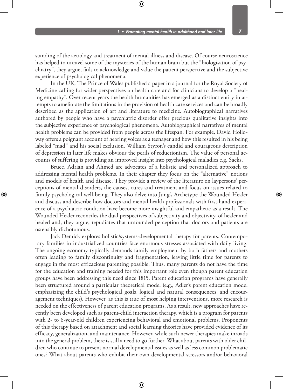standing of the aetiology and treatment of mental illness and disease. Of course neuroscience has helped to unravel some of the mysteries of the human brain but the "biologisation of psychiatry", they argue, fails to acknowledge and value the patient perspective and the subjective experience of psychological phenomena.

In the UK, The Prince of Wales published a paper in a journal for the Royal Society of Medicine calling for wider perspectives on health care and for clinicians to develop a "healing empathy". Over recent years the health humanities has emerged as a distinct entity in attempts to ameliorate the limitations in the provision of health care services and can be broadly described as the application of art and literature to medicine. Autobiographical narratives authored by people who have a psychiatric disorder offer precious qualitative insights into the subjective experience of psychological phenomena. Autobiographical narratives of mental health problems can be provided from people across the lifespan. For example, David Holloway offers a poignant account of hearing voices as a teenager and how this resulted in his being labeled "mad" and his social exclusion. William Styron's candid and courageous description of depression in later life makes obvious the perils of reductionism. The value of personal accounts of suffering is providing an improved insight into psychological maladies e.g. Sacks.

Bruce, Adrian and Ahmed are advocates of a holistic and personalized approach to addressing mental health problems. In their chapter they focus on the "alternative" notions and models of health and disease. They provide a review of the literature on laypersons' perceptions of mental disorders, the causes, cures and treatment and focus on issues related to family psychological well-being. They also delve into Jung's Archetype the Wounded Healer and discuss and describe how doctors and mental health professionals with first-hand experience of a psychiatric condition have become more insightful and empathetic as a result. The Wounded Healer reconciles the dual perspectives of subjectivity and objectivity, of healer and healed and, they argue, repudiates that unfounded perception that doctors and patients are ostensibly dichotomous.

Jack Demick explores holistic/systems-developmental therapy for parents. Contemporary families in industrialized countries face enormous stresses associated with daily living. The ongoing economy typically demands family employment by both fathers and mothers often leading to family discontinuity and fragmentation, leaving little time for parents to engage in the most efficacious parenting possible. Thus, many parents do not have the time for the education and training needed for this important role even though parent education groups have been addressing this need since 1815. Parent education programs have generally been structured around a particular theoretical model (e.g., Adler's parent education model emphasizing the child's psychological goals, logical and natural consequences, and encouragement techniques). However, as this is true of most helping interventions, more research is needed on the effectiveness of parent education programs. As a result, new approaches have recently been developed such as parent-child interaction therapy, which is a program for parents with 2- to 6-year-old children experiencing behavioral and emotional problems. Proponents of this therapy based on attachment and social learning theories have provided evidence of its efficacy, generalization, and maintenance. However, while such newer therapies make inroads into the general problem, there is still a need to go further. What about parents with older children who continue to present normal developmental issues as well as less common problematic ones? What about parents who exhibit their own developmental stressors and/or behavioral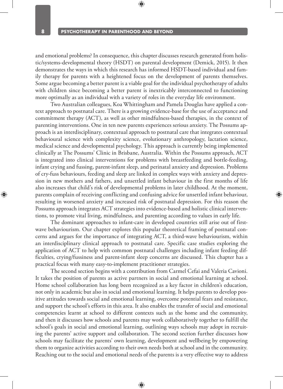and emotional problems? In consequence, this chapter discusses research generated from holistic/systems-developmental theory (HSDT) on parental development (Demick, 2015). It then demonstrates the ways in which this research has informed HSDT-based individual and family therapy for parents with a heightened focus on the development of parents themselves. Some argue becoming a better parent is a viable goal for the individual psychotherapy of adults with children since becoming a better parent is inextricably interconnected to functioning more optimally as an individual with a variety of roles in the everyday life environment.

Two Australian colleagues, Koa Whittingham and Pamela Douglas have applied a context approach to postnatal care. There is a growing evidence-base for the use of acceptance and commitment therapy (ACT), as well as other mindfulness-based therapies, in the context of parenting interventions. One in ten new parents experiences serious anxiety. The Possums approach is an interdisciplinary, contextual approach to postnatal care that integrates contextual behavioural science with complexity science, evolutionary anthropology, lactation science, medical science and developmental psychology. This approach is currently being implemented clinically at The Possums' Clinic in Brisbane, Australia. Within the Possums approach, ACT is integrated into clinical interventions for problems with breastfeeding and bottle-feeding, infant crying and fussing, parent-infant sleep, and perinatal anxiety and depression. Problems of cry-fuss behaviours, feeding and sleep are linked in complex ways with anxiety and depression in new mothers and fathers, and unsettled infant behaviour in the first months of life also increases that child's risk of developmental problems in later childhood. At the moment, parents complain of receiving conflicting and confusing advice for unsettled infant behaviour, resulting in worsened anxiety and increased risk of postnatal depression. For this reason the Possums approach integrates ACT strategies into evidence-based and holistic clinical interventions, to promote vital living, mindfulness, and parenting according to values in early life.

The dominant approaches to infant-care in developed countries still arise out of firstwave behaviourism. Our chapter explores this popular theoretical framing of postnatal concerns and argues for the importance of integrating ACT, a third-wave behaviourism, within an interdisciplinary clinical approach to postnatal care. Specific case studies exploring the application of ACT to help with common postnatal challenges including infant feeding difficulties, crying/fussiness and parent-infant sleep concerns are discussed. This chapter has a practical focus with many easy-to-implement practitioner strategies.

The second section begins with a contribution from Carmel Cefai and Valeria Cavioni. It takes the position of parents as active partners in social and emotional learning at school. Home school collaboration has long been recognized as a key factor in children's education, not only in academic but also in social and emotional learning. It helps parents to develop positive attitudes towards social and emotional learning, overcome potential fears and resistance, and support the school's efforts in this area. It also enables the transfer of social and emotional competencies learnt at school to different contexts such as the home and the community, and then it discusses how schools and parents may work collaboratively together to fulfill the school's goals in social and emotional learning, outlining ways schools may adopt in recruiting the parents' active support and collaboration. The second section further discusses how schools may facilitate the parents' own learning, development and wellbeing by empowering them to organize activities according to their own needs both at school and in the community. Reaching out to the social and emotional needs of the parents is a very effective way to address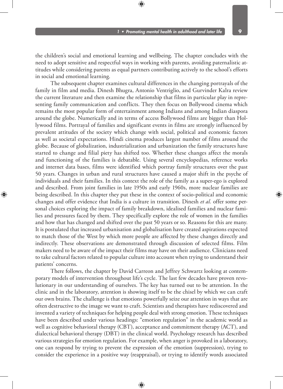the children's social and emotional learning and wellbeing. The chapter concludes with the need to adopt sensitive and respectful ways in working with parents, avoiding paternalistic attitudes while considering parents as equal partners contributing actively to the school's efforts in social and emotional learning.

The subsequent chapter examines cultural differences in the changing portrayals of the family in film and media. Dinesh Bhugra, Antonio Ventriglio, and Gurvinder Kalra review the current literature and then examine the relationship that films in particular play in representing family communication and conflicts. They then focus on Bollywood cinema which remains the most popular form of entertainment among Indians and among Indian diaspora around the globe. Numerically and in terms of access Bollywood films are bigger than Hollywood films. Portrayal of families and significant events in films are strongly influenced by prevalent attitudes of the society which change with social, political and economic factors as well as societal expectations. Hindi cinema produces largest number of films around the globe. Because of globalization, industrialization and urbanization the family structures have started to change and filial piety has shifted too. Whether these changes affect the morals and functioning of the families is debatable. Using several encyclopedias, reference works and internet data bases, films were identified which portray family structures over the past 50 years. Changes in urban and rural structures have caused a major shift in the psyche of individuals and their families. In this context the role of the family as a super-ego is explored and described. From joint families in late 1950s and early 1960s, more nuclear families are being described. In this chapter they put these in the context of socio-political and economic changes and offer evidence that India is a culture in transition. Dinesh *et al.* offer some personal choices exploring the impact of family breakdown, idealised families and nuclear families and pressures faced by them. They specifically explore the role of women in the families and how that has changed and shifted over the past 50 years or so. Reasons for this are many. It is postulated that increased urbanisation and globalisation have created aspirations expected to match those of the West by which more people are affected by these changes directly and indirectly. These observations are demonstrated through discussion of selected films. Film makers need to be aware of the impact their films may have on their audience. Clinicians need to take cultural factors related to popular culture into account when trying to understand their patients' concerns.

There follows, the chapter by David Carreon and Jeffrey Schwartz looking at contemporary models of intervention throughout life's cycle. The last few decades have proven revolutionary in our understanding of ourselves. The key has turned out to be attention. In the clinic and in the laboratory, attention is showing itself to be the chisel by which we can craft our own brains. The challenge is that emotions powerfully seize our attention in ways that are often destructive to the image we want to craft. Scientists and therapists have rediscovered and invented a variety of techniques for helping people deal with strong emotion. These techniques have been described under various headings: "emotion regulation" in the academic world as well as cognitive behavioral therapy (CBT), acceptance and commitment therapy (ACT), and dialectical behavioral therapy (DBT) in the clinical world. Psychology research has described various strategies for emotion regulation. For example, when anger is provoked in a laboratory, one can respond by trying to prevent the expression of the emotion (suppression), trying to consider the experience in a positive way (reappraisal), or trying to identify words associated